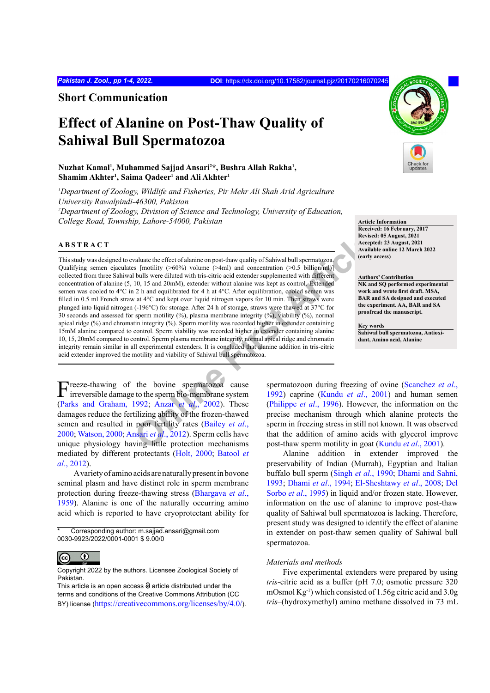**Short Communication**

# **Effect of Alanine on Post-Thaw Quality of Sahiwal Bull Spermatozoa**

## **Nuzhat Kamal1 , Muhammed Sajjad Ansari2 \*, Bushra Allah Rakha1 ,**   $Shamim Akhter<sup>1</sup>, Saima Qadeer<sup>1</sup> and Ali Akhter<sup>1</sup>$

*1 Department of Zoology, Wildlife and Fisheries, Pir Mehr Ali Shah Arid Agriculture University Rawalpindi-46300, Pakistan 2 Department of Zoology, Division of Science and Technology, University of Education,*  **College Road, Township, Lahore-54000, Pakistan** *b* **article Information <b>Article Information** 

#### **ABSTRACT**

Acception and the effect of alamine on post-thaw quality of Sahiwal bull spermatozoa<br>
Secreptive Schein and COMM), extend with thris-citic acid extender supplemented with different<br>
10, 15 and 200mM), extended for 4 h at 4 This study was designed to evaluate the effect of alanine on post-thaw quality of Sahiwal bull spermatozoa. Qualifying semen ejaculates [motility  $(>60\%)$  volume  $(>4ml)$  and concentration  $(>0.5 \text{ billion/ml})$ ] collected from three Sahiwal bulls were diluted with tris-citric acid extender supplemented with different concentration of alanine (5, 10, 15 and 20mM), extender without alanine was kept as control. Extended semen was cooled to 4°C in 2 h and equilibrated for 4 h at 4°C. After equilibration, cooled semen was filled in 0.5 ml French straw at 4°C and kept over liquid nitrogen vapors for 10 min. Then straws were plunged into liquid nitrogen (-196°C) for storage. After 24 h of storage, straws were thawed at 37°C for 30 seconds and assessed for sperm motility (%), plasma membrane integrity (%), viability (%), normal apical ridge (%) and chromatin integrity (%). Sperm motility was recorded higher in extender containing 15mM alanine compared to control. Sperm viability was recorded higher in extender containing alanine 10, 15, 20mM compared to control. Sperm plasma membrane integrity, normal apical ridge and chromatin integrity remain similar in all experimental extenders. It is concluded that alanine addition in tris-citric acid extender improved the motility and viability of Sahiwal bull spermatozoa.

Freeze-thawing of the bovine spermatozoa cause irreversible damage to the sperm bio-membrane system [\(Parks and Graham, 1992](#page-3-0); Anzar *et al*., 2002). These damages reduce the fertilizing ability of the frozen-thawed semen and resulted in poor fertility rates (Bailey *et al*., [2000;](#page-2-1) [Watson, 2000;](#page-3-1) Ansari *et al*., 2012). Sperm cells have unique physiology having little protection mechanisms mediated by different protectants ([Holt, 2000;](#page-3-2) [Batool](#page-2-2) *et al*[., 2012](#page-2-2)).

A variety of amino acids are naturally present in bovone seminal plasm and have distinct role in sperm membrane protection during freeze-thawing stress ([Bhargava](#page-2-3) *et al*., [1959\)](#page-2-3). Alanine is one of the naturally occurring amino acid which is reported to have cryoprotectant ability for

Corresponding author: m.sajjad.ansari@gmail.com 0030-9923/2022/0001-0001 \$ 9.00/0



Copyright 2022 by the authors. Licensee Zoological Society of Pakistan.

This article is an open access  $\Theta$  article distributed under the terms and conditions of the Creative Commons Attribution (CC BY) license (https://creativecommons.org/licenses/by/4.0/).



**Received: 16 February, 2017 Revised: 05 August, 2021 Accepted: 23 August, 2021 Available online 12 March 2022 (early access)**

#### **Authors' Contribution NK and SQ performed experimental work and wrote first draft. MSA, BAR and SA designed and executed the experiment. AA, BAR and SA proofread the manuscript.**

**Key words Sahiwal bull spermatozoa, Antioxidant, Amino acid, Alanine**

spermatozoon during freezing of ovine [\(Scanchez](#page-3-3) *et al*., 1992) caprine (Kundu *et al*., 2001) and human semen (Philippe *et al*., 1996). However, the information on the precise mechanism through which alanine protects the sperm in freezing stress in still not known. It was observed that the addition of amino acids with glycerol improve post-thaw sperm motility in goat [\(Kundu](#page-3-4) *et al*., 2001).

Alanine addition in extender improved the preservability of Indian (Murrah), Egyptian and Italian buffalo bull sperm (Singh *et al*[., 1990;](#page-3-6) [Dhami and Sahni,](#page-2-4) [1993;](#page-2-4) [Dhami](#page-2-5) *et al*., 1994; [El-Sheshtawy](#page-3-7) *et al*., 2008; [Del](#page-2-6) Sorbo *et al*[., 1995\)](#page-2-6) in liquid and/or frozen state. However, information on the use of alanine to improve post-thaw quality of Sahiwal bull spermatozoa is lacking. Therefore, present study was designed to identify the effect of alanine in extender on post-thaw semen quality of Sahiwal bull spermatozoa.

### *Materials and methods*

Five experimental extenders were prepared by using *tris*-citric acid as a buffer (pH 7.0; osmotic pressure 320 mOsmol Kg-1) which consisted of 1.56g citric acid and 3.0g *tris*–(hydroxymethyl) amino methane dissolved in 73 mL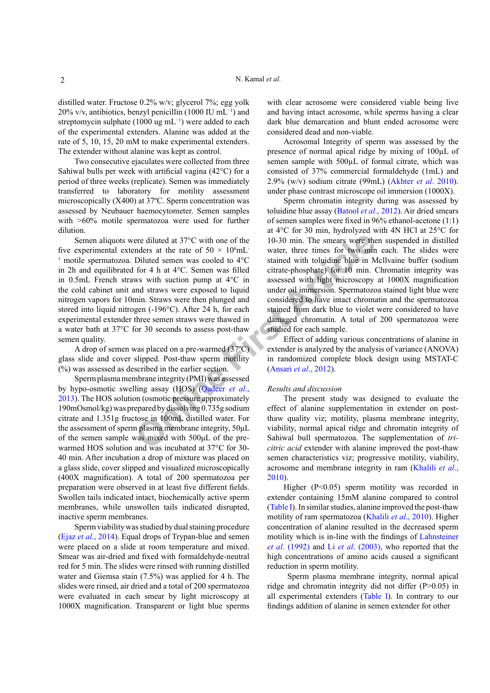distilled water. Fructose 0.2% w/v; glycerol 7%; egg yolk 20% v/v, antibiotics, benzyl penicillin (1000 IU mL−1) and streptomycin sulphate (1000 ug mL−1) were added to each of the experimental extenders. Alanine was added at the rate of 5, 10, 15, 20 mM to make experimental extenders. The extender without alanine was kept as control.

Two consecutive ejaculates were collected from three Sahiwal bulls per week with artificial vagina (42°C) for a period of three weeks (replicate). Semen was immediately transferred to laboratory for motility assessment microscopically (X400) at 37ºC. Sperm concentration was assessed by Neubauer haemocytometer. Semen samples with >60% motile spermatozoa were used for further dilution.

For diluted at 37°C with o[ne](#page-3-8) of the<br>
10-30 min. The smears were the<br>
malers at the rate of 50 × 10°mL<br>
Diluted semen was cooled to 4°C<br>
for 4 h at 4°C. Semen was filled<br>
for 4 h at 4°C. Semen was filled<br>
intate-phosphate) Semen aliquots were diluted at 37°C with one of the five experimental extenders at the rate of  $50 \times 10^6$ mL <sup>1</sup> motile spermatozoa. Diluted semen was cooled to  $4^{\circ}$ C in 2h and equilibrated for 4 h at 4°C. Semen was filled in 0.5mL French straws with suction pump at 4°C in the cold cabinet unit and straws were exposed to liquid nitrogen vapors for 10min. Straws were then plunged and stored into liquid nitrogen (-196°C). After 24 h, for each experimental extender three semen straws were thawed in a water bath at 37°C for 30 seconds to assess post-thaw semen quality.

A drop of semen was placed on a pre-warmed (37ºC) glass slide and cover slipped. Post-thaw sperm motility (%) was assessed as described in the earlier section.

Sperm plasma membrane integrity (PMI) was assessed by hypo-osmotic swelling assay (HOS) (Qadeer *et al*., [2013\)](#page-3-8). The HOS solution (osmotic pressure approximately 190mOsmol/kg) was prepared by dissolving 0.735g sodium citrate and 1.351g fructose in 100mL distilled water. For the assessment of sperm plasma membrane integrity, 50μL of the semen sample was mixed with 500μL of the prewarmed HOS solution and was incubated at 37°C for 30- 40 min. After incubation a drop of mixture was placed on a glass slide, cover slipped and visualized microscopically (400X magnification). A total of 200 spermatozoa per preparation were observed in at least five different fields. Swollen tails indicated intact, biochemically active sperm membranes, while unswollen tails indicated disrupted, inactive sperm membranes.

Sperm viability was studied by dual staining procedure (Ejaz *et al*., 2014). Equal drops of Trypan-blue and semen were placed on a slide at room temperature and mixed. Smear was air-dried and fixed with formaldehyde-neutral red for 5 min. The slides were rinsed with running distilled water and Giemsa stain (7.5%) was applied for 4 h. The slides were rinsed, air dried and a total of 200 spermatozoa were evaluated in each smear by light microscopy at 1000X magnification. Transparent or light blue sperms

with clear acrosome were considered viable being live and having intact acrosome, while sperms having a clear dark blue demarcation and blunt ended acrosome were considered dead and non-viable.

Acrosomal Integrity of sperm was assessed by the presence of normal apical ridge by mixing of 100µL of semen sample with 500 $\mu$ L of formal citrate, which was consisted of 37% commercial formaldehyde (1mL) and 2.9% (w/v) sodium citrate (99mL) ([Akhter](#page-2-7) *et al*. 2010). under phase contrast microscope oil immersion (1000X).

Sperm chromatin integrity during was assessed by toluidine blue assay ([Batool](#page-2-2) *et al*., 2012). Air dried smears of semen samples were fixed in 96% ethanol-acetone (1:1) at 4°C for 30 min, hydrolyzed with 4N HCl at 25°C for 10-30 min. The smears were then suspended in distilled water, three times for two min each. The slides were stained with toluidine blue in Mcllvaine buffer (sodium citrate-phosphate) for 10 min. Chromatin integrity was assessed with light microscopy at 1000X magnification under oil immersion. Spermatozoa stained light blue were considered to have intact chromatin and the spermatozoa stained from dark blue to violet were considered to have damaged chromatin. A total of 200 spermatozoa were studied for each sample.

Effect of adding various concentrations of alanine in extender is analyzed by the analysis of variance (ANOVA) in randomized complete block design using MSTAT-C (Ansari *et al*., 2012).

#### *Results and discussion*

The present study was designed to evaluate the effect of alanine supplementation in extender on postthaw quality viz; motility, plasma membrane integrity, viability, normal apical ridge and chromatin integrity of Sahiwal bull spermatozoa. The supplementation of *tricitric acid* extender with alanine improved the post-thaw semen characteristics viz; progressive motility, viability, acrosome and membrane integrity in ram [\(Khalili](#page-3-9) *et al*., [2010\)](#page-3-9).

Higher (P<0.05) sperm motility was recorded in extender containing 15mM alanine compared to control [\(Table I](#page-2-8)). In similar studies, alanine improved the post-thaw motility of ram spermatozoa [\(Khalili](#page-3-9) *et al*., 2010). Higher concentration of alanine resulted in the decreased sperm motility which is in-line with the findings of [Lahnsteiner](#page-3-10) *et al*[. \(1992\)](#page-3-10) and Li *et al*[. \(2003\)](#page-3-11), who reported that the high concentrations of amino acids caused a significant reduction in sperm motility.

 Sperm plasma membrane integrity, normal apical ridge and chromatin integrity did not differ (P>0.05) in all experimental extenders ([Table I](#page-2-8)). In contrary to our findings addition of alanine in semen extender for other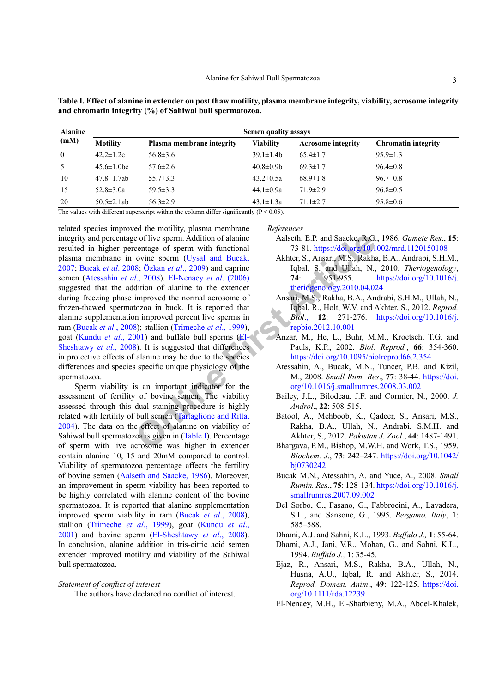| <b>Alanine</b><br>(mM) | Semen quality assays |                           |                  |                           |                            |
|------------------------|----------------------|---------------------------|------------------|---------------------------|----------------------------|
|                        | <b>Motility</b>      | Plasma membrane integrity | <b>Viability</b> | <b>Acrosome</b> integrity | <b>Chromatin integrity</b> |
| $\theta$               | $42.2 \pm 1.2c$      | $56.8 \pm 3.6$            | $39.1 \pm 1.4 b$ | $65.4 \pm 1.7$            | $95.9 \pm 1.3$             |
| -5                     | $45.6 \pm 1.0$ bc    | $57.6 \pm 2.6$            | $40.8 \pm 0.9$ b | $69.3 \pm 1.7$            | $96.4 \pm 0.8$             |
| 10                     | $47.8 \pm 1.7$ ab    | $55.7 \pm 3.3$            | $43.2 \pm 0.5a$  | $68.9 \pm 1.8$            | $96.7 \pm 0.8$             |
| 15                     | $52.8 \pm 3.0a$      | $59.5 \pm 3.3$            | 44.1 $\pm$ 0.9a  | $71.9 \pm 2.9$            | $96.8 \pm 0.5$             |
| 20                     | $50.5 \pm 2.1$ ab    | $56.3 \pm 2.9$            | $43.1 \pm 1.3a$  | $71.1 \pm 2.7$            | $95.8 \pm 0.6$             |

<span id="page-2-8"></span>Table I. Effect of alanine in extender on post thaw motility, plasma membrane integrity, viability, acrosome integrity and chromatin integrity (%) of Sahiwal bull spermatozoa.

The values with different superscript within the column differ significantly ( $P < 0.05$ ).

related species improved the motility, plasma membrane integrity and percentage of live sperm. Addition of alanine resulted in higher percentage of sperm with functional plasma membrane in ovine sperm (Uysal and Bucak, 2007; Bucak et al. 2008; Özkan et al., 2009) and caprine semen (Atessahin et al., 2008). El-Nenaey et al. (2006) suggested that the addition of alanine to the extender during freezing phase improved the normal acrosome of frozen-thawed spermatozoa in buck. It is reported that alanine supplementation improved percent live sperms in ram (Bucak et al., 2008); stallion (Trimeche et al., 1999), goat (Kundu et al., 2001) and buffalo bull sperms (El-Sheshtawy et al., 2008). It is suggested that differences in protective effects of alanine may be due to the species differences and species specific unique physiology of the spermatozoa.

Sperm viability is an important indicator for the assessment of fertility of bovine semen. The viability assessed through this dual staining procedure is highly related with fertility of bull semen (Tartaglione and Ritta, 2004). The data on the effect of alanine on viability of Sahiwal bull spermatozoa is given in (Table I). Percentage of sperm with live acrosome was higher in extender contain alanine 10, 15 and 20mM compared to control. Viability of spermatozoa percentage affects the fertility of bovine semen (Aalseth and Saacke, 1986). Moreover, an improvement in sperm viability has been reported to be highly correlated with alanine content of the bovine spermatozoa. It is reported that alanine supplementation improved sperm viability in ram (Bucak et al., 2008), stallion (Trimeche et al., 1999), goat (Kundu et al., 2001) and bovine sperm (El-Sheshtawy et al., 2008). In conclusion, alanine addition in tris-citric acid semen extender improved motility and viability of the Sahiwal bull spermatozoa.

#### Statement of conflict of interest

The authors have declared no conflict of interest.

References

- <span id="page-2-12"></span>Aalseth, E.P. and Saacke, R.G., 1986. Gamete Res., 15: 73-81. https://doi.org/10.1002/mrd.1120150108
- <span id="page-2-7"></span>Akhter, S., Ansari, M.S., Rakha, B.A., Andrabi, S.H.M., Iqbal, S. and Ullah, N., 2010. Theriogenology,  $74:$ 951-955. https://doi.org/10.1016/j. theriogenology.2010.04.024
- Ansari, M.S., Rakha, B.A., Andrabi, S.H.M., Ullah, N., Iqbal, R., Holt, W.V. and Akhter, S., 2012. Reprod. *Biol.*, 12: 271-276. https://doi.org/10.1016/j. repbio.2012.10.001
- <span id="page-2-0"></span>Anzar, M., He, L., Buhr, M.M., Kroetsch, T.G. and Pauls, K.P., 2002. Biol. Reprod., 66: 354-360. https://doi.org/10.1095/biolreprod66.2.354
- <span id="page-2-10"></span>Atessahin, A., Bucak, M.N., Tuncer, P.B. and Kizil, M., 2008. Small Rum. Res., 77: 38-44. https://doi. org/10.1016/j.smallrumres.2008.03.002
- <span id="page-2-1"></span>Bailey, J.L., Bilodeau, J.F. and Cormier, N., 2000. J. Androl., 22: 508-515.
- <span id="page-2-2"></span>Batool, A., Mehboob, K., Qadeer, S., Ansari, M.S., Rakha, B.A., Ullah, N., Andrabi, S.M.H. and Akhter, S., 2012. Pakistan J. Zool., 44: 1487-1491.
- <span id="page-2-3"></span>Bhargava, P.M., Bishop, M.W.H. and Work, T.S., 1959. Biochem. J., 73: 242-247. https://doi.org/10.1042/ bj0730242
- <span id="page-2-9"></span>Bucak M.N., Atessahin, A. and Yuce, A., 2008. Small Rumin. Res., 75: 128-134. https://doi.org/10.1016/j. smallrumres.2007.09.002
- <span id="page-2-6"></span>Del Sorbo, C., Fasano, G., Fabbrocini, A., Lavadera, S.L., and Sansone, G., 1995. Bergamo, Italy, 1: 585-588.
- <span id="page-2-4"></span>Dhami, A.J. and Sahni, K.L., 1993. Buffalo J., 1: 55-64.
- <span id="page-2-5"></span>Dhami, A.J., Jani, V.R., Mohan, G., and Sahni, K.L., 1994. Buffalo J., 1: 35-45.
- Ejaz, R., Ansari, M.S., Rakha, B.A., Ullah, N., Husna, A.U., Iqbal, R. and Akhter, S., 2014. Reprod. Domest. Anim., 49: 122-125. https://doi. org/10.1111/rda.12239
- <span id="page-2-11"></span>El-Nenaey, M.H., El-Sharbieny, M.A., Abdel-Khalek,